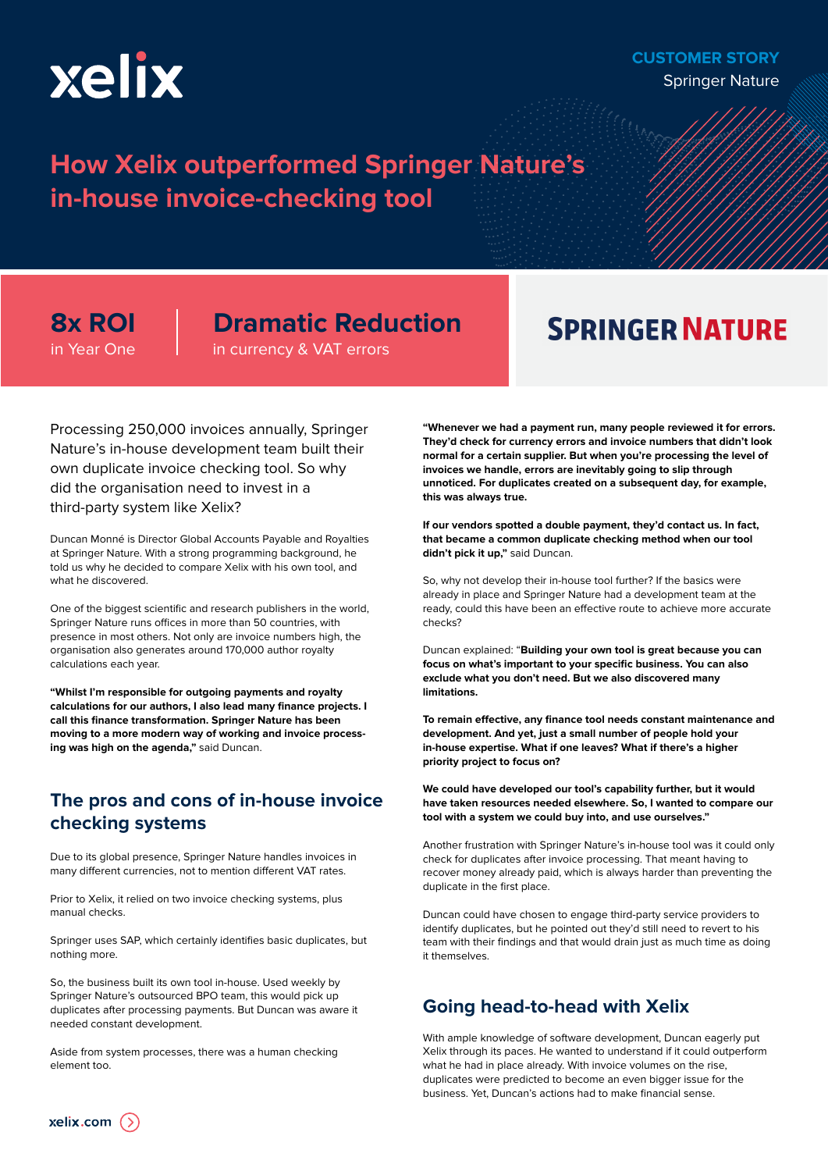

#### **CUSTOMER STORY** Springer Nature

## **How Xelix outperformed Springer Nature's in-house invoice-checking tool**

**8x ROI** in Year One

## **Dramatic Reduction**

in currency & VAT errors

# **SPRINGER NATURE**

Processing 250,000 invoices annually, Springer Nature's in-house development team built their own duplicate invoice checking tool. So why did the organisation need to invest in a third-party system like Xelix?

Duncan Monné is Director Global Accounts Payable and Royalties at Springer Nature. With a strong programming background, he told us why he decided to compare Xelix with his own tool, and what he discovered.

One of the biggest scientific and research publishers in the world, Springer Nature runs offices in more than 50 countries, with presence in most others. Not only are invoice numbers high, the organisation also generates around 170,000 author royalty calculations each year.

**"Whilst I'm responsible for outgoing payments and royalty calculations for our authors, I also lead many finance projects. I call this finance transformation. Springer Nature has been moving to a more modern way of working and invoice processing was high on the agenda,"** said Duncan.

### **The pros and cons of in-house invoice checking systems**

Due to its global presence, Springer Nature handles invoices in many different currencies, not to mention different VAT rates.

Prior to Xelix, it relied on two invoice checking systems, plus manual checks.

Springer uses SAP, which certainly identifies basic duplicates, but nothing more.

So, the business built its own tool in-house. Used weekly by Springer Nature's outsourced BPO team, this would pick up duplicates after processing payments. But Duncan was aware it needed constant development.

Aside from system processes, there was a human checking element too.

**"Whenever we had a payment run, many people reviewed it for errors. They'd check for currency errors and invoice numbers that didn't look normal for a certain supplier. But when you're processing the level of invoices we handle, errors are inevitably going to slip through unnoticed. For duplicates created on a subsequent day, for example, this was always true.**

**If our vendors spotted a double payment, they'd contact us. In fact, that became a common duplicate checking method when our tool didn't pick it up,"** said Duncan.

So, why not develop their in-house tool further? If the basics were already in place and Springer Nature had a development team at the ready, could this have been an effective route to achieve more accurate checks?

Duncan explained: "**Building your own tool is great because you can focus on what's important to your specific business. You can also exclude what you don't need. But we also discovered many limitations.**

To remain effective, any finance tool needs constant maintenance and **development. And yet, just a small number of people hold your in-house expertise. What if one leaves? What if there's a higher priority project to focus on?**

**We could have developed our tool's capability further, but it would have taken resources needed elsewhere. So, I wanted to compare our tool with a system we could buy into, and use ourselves."**

Another frustration with Springer Nature's in-house tool was it could only check for duplicates after invoice processing. That meant having to recover money already paid, which is always harder than preventing the duplicate in the first place.

Duncan could have chosen to engage third-party service providers to identify duplicates, but he pointed out they'd still need to revert to his team with their findings and that would drain just as much time as doing it themselves.

### **Going head-to-head with Xelix**

With ample knowledge of software development, Duncan eagerly put Xelix through its paces. He wanted to understand if it could outperform what he had in place already. With invoice volumes on the rise, duplicates were predicted to become an even bigger issue for the business. Yet, Duncan's actions had to make financial sense.

xelix.com  $($